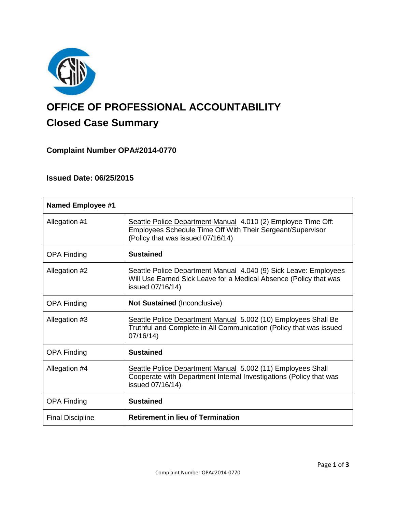

# **OFFICE OF PROFESSIONAL ACCOUNTABILITY Closed Case Summary**

# **Complaint Number OPA#2014-0770**

# **Issued Date: 06/25/2015**

| <b>Named Employee #1</b> |                                                                                                                                                                  |
|--------------------------|------------------------------------------------------------------------------------------------------------------------------------------------------------------|
| Allegation #1            | Seattle Police Department Manual 4.010 (2) Employee Time Off:<br>Employees Schedule Time Off With Their Sergeant/Supervisor<br>(Policy that was issued 07/16/14) |
| <b>OPA Finding</b>       | <b>Sustained</b>                                                                                                                                                 |
| Allegation #2            | Seattle Police Department Manual 4.040 (9) Sick Leave: Employees<br>Will Use Earned Sick Leave for a Medical Absence (Policy that was<br>issued 07/16/14)        |
| <b>OPA Finding</b>       | <b>Not Sustained (Inconclusive)</b>                                                                                                                              |
| Allegation #3            | Seattle Police Department Manual 5.002 (10) Employees Shall Be<br>Truthful and Complete in All Communication (Policy that was issued<br>07/16/14                 |
| <b>OPA Finding</b>       | <b>Sustained</b>                                                                                                                                                 |
| Allegation #4            | Seattle Police Department Manual 5.002 (11) Employees Shall<br>Cooperate with Department Internal Investigations (Policy that was<br>issued 07/16/14)            |
| <b>OPA Finding</b>       | <b>Sustained</b>                                                                                                                                                 |
| <b>Final Discipline</b>  | <b>Retirement in lieu of Termination</b>                                                                                                                         |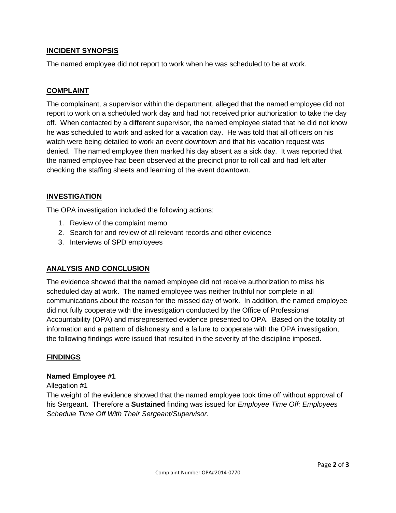# **INCIDENT SYNOPSIS**

The named employee did not report to work when he was scheduled to be at work.

# **COMPLAINT**

The complainant, a supervisor within the department, alleged that the named employee did not report to work on a scheduled work day and had not received prior authorization to take the day off. When contacted by a different supervisor, the named employee stated that he did not know he was scheduled to work and asked for a vacation day. He was told that all officers on his watch were being detailed to work an event downtown and that his vacation request was denied. The named employee then marked his day absent as a sick day. It was reported that the named employee had been observed at the precinct prior to roll call and had left after checking the staffing sheets and learning of the event downtown.

## **INVESTIGATION**

The OPA investigation included the following actions:

- 1. Review of the complaint memo
- 2. Search for and review of all relevant records and other evidence
- 3. Interviews of SPD employees

# **ANALYSIS AND CONCLUSION**

The evidence showed that the named employee did not receive authorization to miss his scheduled day at work. The named employee was neither truthful nor complete in all communications about the reason for the missed day of work. In addition, the named employee did not fully cooperate with the investigation conducted by the Office of Professional Accountability (OPA) and misrepresented evidence presented to OPA. Based on the totality of information and a pattern of dishonesty and a failure to cooperate with the OPA investigation, the following findings were issued that resulted in the severity of the discipline imposed.

#### **FINDINGS**

#### **Named Employee #1**

Allegation #1

The weight of the evidence showed that the named employee took time off without approval of his Sergeant. Therefore a **Sustained** finding was issued for *Employee Time Off: Employees Schedule Time Off With Their Sergeant/Supervisor.*